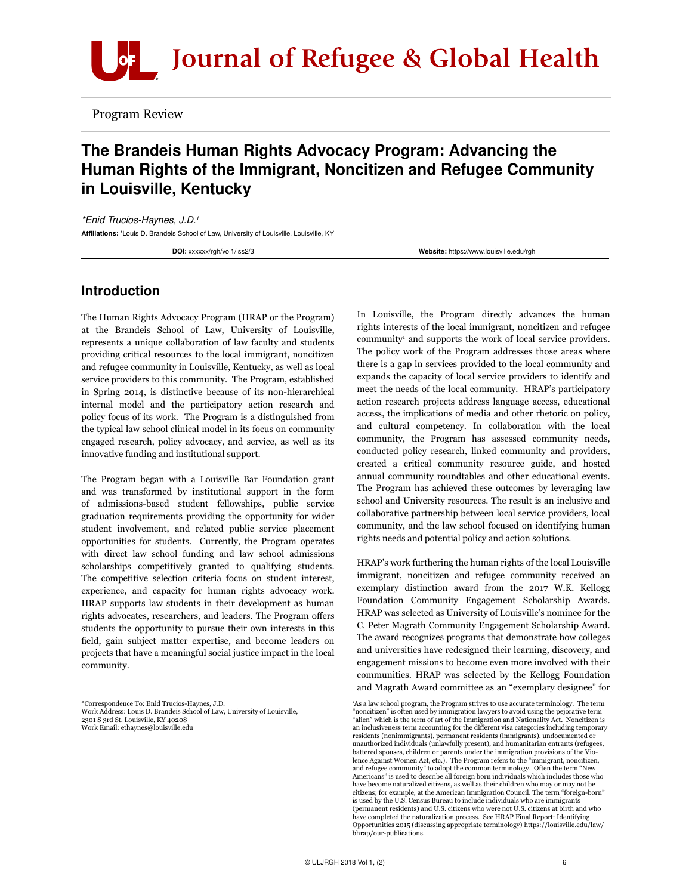

Program Review

# The Brandeis Human Rights Advocacy Program: Advancing the Human Rights of the Immigrant, Noncitizen and Refugee Community in Louisville, Kentucky

*\*Enid Trucios-Haynes, J.D.1* Affiliations: 'Louis D. Brandeis School of Law, University of Louisville, Louisville, KY

DOI: xxxxxx/rgh/vol1/iss2/3 exercises and the state of the state of the Website: <https://www.louisville.edu/rgh>

### Introduction

The Human Rights Advocacy Program (HRAP or the Program) at the Brandeis School of Law, University of Louisville, represents a unique collaboration of law faculty and students providing critical resources to the local immigrant, noncitizen and refugee community in Louisville, Kentucky, as well as local service providers to this community. The Program, established in Spring 2014, is distinctive because of its non-hierarchical internal model and the participatory action research and policy focus of its work. The Program is a distinguished from the typical law school clinical model in its focus on community engaged research, policy advocacy, and service, as well as its innovative funding and institutional support.

The Program began with a Louisville Bar Foundation grant and was transformed by institutional support in the form of admissions-based student fellowships, public service graduation requirements providing the opportunity for wider student involvement, and related public service placement opportunities for students. Currently, the Program operates with direct law school funding and law school admissions scholarships competitively granted to qualifying students. The competitive selection criteria focus on student interest, experience, and capacity for human rights advocacy work. HRAP supports law students in their development as human rights advocates, researchers, and leaders. The Program offers students the opportunity to pursue their own interests in this field, gain subject matter expertise, and become leaders on projects that have a meaningful social justice impact in the local community.

\*Correspondence To: Enid Trucios-Haynes, J.D. Work Address: Louis D. Brandeis School of Law, University of Louisville, 2301 S 3rd St, Louisville, KY 40208 Work Email: [ethaynes@louisville.edu](mailto:ethaynes@louisville.edu)

In Louisville, the Program directly advances the human rights interests of the local immigrant, noncitizen and refugee community<sup>1</sup> and supports the work of local service providers. The policy work of the Program addresses those areas where there is a gap in services provided to the local community and expands the capacity of local service providers to identify and meet the needs of the local community. HRAP's participatory action research projects address language access, educational access, the implications of media and other rhetoric on policy, and cultural competency. In collaboration with the local community, the Program has assessed community needs, conducted policy research, linked community and providers, created a critical community resource guide, and hosted annual community roundtables and other educational events. The Program has achieved these outcomes by leveraging law school and University resources. The result is an inclusive and collaborative partnership between local service providers, local community, and the law school focused on identifying human rights needs and potential policy and action solutions.

HRAP's work furthering the human rights of the local Louisville immigrant, noncitizen and refugee community received an exemplary distinction award from the 2017 W.K. Kellogg Foundation Community Engagement Scholarship Awards. HRAP was selected as University of Louisville's nominee for the C. Peter Magrath Community Engagement Scholarship Award. The award recognizes programs that demonstrate how colleges and universities have redesigned their learning, discovery, and engagement missions to become even more involved with their communities. HRAP was selected by the Kellogg Foundation and Magrath Award committee as an "exemplary designee" for

<sup>1</sup> As a law school program, the Program strives to use accurate terminology. The term "noncitizen" is often used by immigration lawyers to avoid using the pejorative term "alien" which is the term of art of the Immigration and Nationality Act. Noncitizen is an inclusiveness term accounting for the different visa categories including temporary residents (nonimmigrants), permanent residents (immigrants), undocumented or unauthorized individuals (unlawfully present), and humanitarian entrants (refugees, battered spouses, children or parents under the immigration provisions of the Violence Against Women Act, etc.). The Program refers to the "immigrant, noncitizen, and refugee community" to adopt the common terminology. Often the term "New Americans" is used to describe all foreign born individuals which includes those who have become naturalized citizens, as well as their children who may or may not be citizens; for example, at the American Immigration Council. The term "foreign-born" is used by the U.S. Census Bureau to include individuals who are immigrants (permanent residents) and U.S. citizens who were not U.S. citizens at birth and who have completed the naturalization process. See HRAP Final Report: Identifying Opportunities 2015 (discussing appropriate terminology) [https://louisville.edu/law/](https://louisville.edu/law/bhrap/our-publications) [bhrap/our-publications](https://louisville.edu/law/bhrap/our-publications).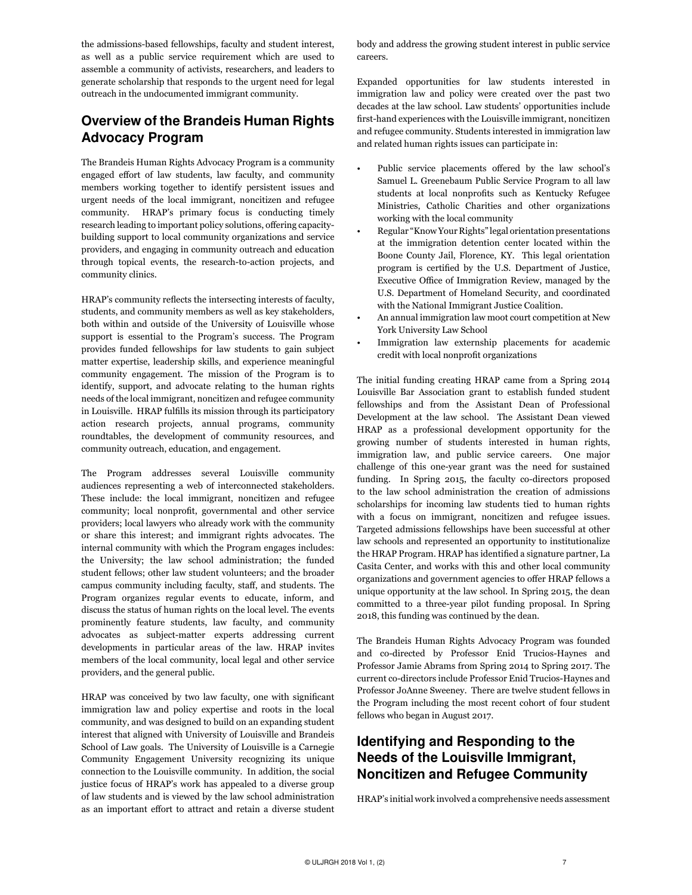the admissions-based fellowships, faculty and student interest, as well as a public service requirement which are used to assemble a community of activists, researchers, and leaders to generate scholarship that responds to the urgent need for legal outreach in the undocumented immigrant community.

# Overview of the Brandeis Human Rights Advocacy Program

The Brandeis Human Rights Advocacy Program is a community engaged effort of law students, law faculty, and community members working together to identify persistent issues and urgent needs of the local immigrant, noncitizen and refugee community. HRAP's primary focus is conducting timely research leading to important policy solutions, offering capacitybuilding support to local community organizations and service providers, and engaging in community outreach and education through topical events, the research-to-action projects, and community clinics.

HRAP's community reflects the intersecting interests of faculty, students, and community members as well as key stakeholders, both within and outside of the University of Louisville whose support is essential to the Program's success. The Program provides funded fellowships for law students to gain subject matter expertise, leadership skills, and experience meaningful community engagement. The mission of the Program is to identify, support, and advocate relating to the human rights needs of the local immigrant, noncitizen and refugee community in Louisville. HRAP fulfills its mission through its participatory action research projects, annual programs, community roundtables, the development of community resources, and community outreach, education, and engagement.

The Program addresses several Louisville community audiences representing a web of interconnected stakeholders. These include: the local immigrant, noncitizen and refugee community; local nonprofit, governmental and other service providers; local lawyers who already work with the community or share this interest; and immigrant rights advocates. The internal community with which the Program engages includes: the University; the law school administration; the funded student fellows; other law student volunteers; and the broader campus community including faculty, staff, and students. The Program organizes regular events to educate, inform, and discuss the status of human rights on the local level. The events prominently feature students, law faculty, and community advocates as subject-matter experts addressing current developments in particular areas of the law. HRAP invites members of the local community, local legal and other service providers, and the general public.

HRAP was conceived by two law faculty, one with significant immigration law and policy expertise and roots in the local community, and was designed to build on an expanding student interest that aligned with University of Louisville and Brandeis School of Law goals. The University of Louisville is a Carnegie Community Engagement University recognizing its unique connection to the Louisville community. In addition, the social justice focus of HRAP's work has appealed to a diverse group of law students and is viewed by the law school administration as an important effort to attract and retain a diverse student body and address the growing student interest in public service careers.

Expanded opportunities for law students interested in immigration law and policy were created over the past two decades at the law school. Law students' opportunities include first-hand experiences with the Louisville immigrant, noncitizen and refugee community. Students interested in immigration law and related human rights issues can participate in:

- Public service placements offered by the law school's Samuel L. Greenebaum Public Service Program to all law students at local nonprofits such as Kentucky Refugee Ministries, Catholic Charities and other organizations working with the local community
- Regular "Know Your Rights" legal orientation presentations at the immigration detention center located within the Boone County Jail, Florence, KY. This legal orientation program is certified by the U.S. Department of Justice, Executive Office of Immigration Review, managed by the U.S. Department of Homeland Security, and coordinated with the National Immigrant Justice Coalition.
- An annual immigration law moot court competition at New York University Law School
- Immigration law externship placements for academic credit with local nonprofit organizations

The initial funding creating HRAP came from a Spring 2014 Louisville Bar Association grant to establish funded student fellowships and from the Assistant Dean of Professional Development at the law school. The Assistant Dean viewed HRAP as a professional development opportunity for the growing number of students interested in human rights, immigration law, and public service careers. One major challenge of this one-year grant was the need for sustained funding. In Spring 2015, the faculty co-directors proposed to the law school administration the creation of admissions scholarships for incoming law students tied to human rights with a focus on immigrant, noncitizen and refugee issues. Targeted admissions fellowships have been successful at other law schools and represented an opportunity to institutionalize the HRAP Program. HRAP has identified a signature partner, La Casita Center, and works with this and other local community organizations and government agencies to offer HRAP fellows a unique opportunity at the law school. In Spring 2015, the dean committed to a three-year pilot funding proposal. In Spring 2018, this funding was continued by the dean.

The Brandeis Human Rights Advocacy Program was founded and co-directed by Professor Enid Trucios-Haynes and Professor Jamie Abrams from Spring 2014 to Spring 2017. The current co-directors include Professor Enid Trucios-Haynes and Professor JoAnne Sweeney. There are twelve student fellows in the Program including the most recent cohort of four student fellows who began in August 2017.

## Identifying and Responding to the Needs of the Louisville Immigrant, Noncitizen and Refugee Community

HRAP's initial work involved a comprehensive needs assessment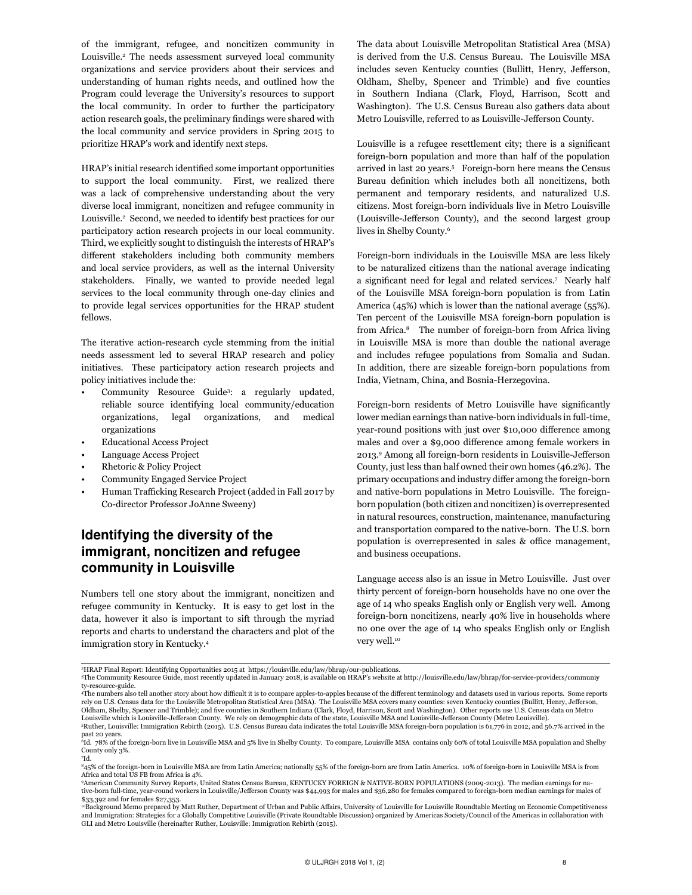of the immigrant, refugee, and noncitizen community in Louisville.2 The needs assessment surveyed local community organizations and service providers about their services and understanding of human rights needs, and outlined how the Program could leverage the University's resources to support the local community. In order to further the participatory action research goals, the preliminary findings were shared with the local community and service providers in Spring 2015 to prioritize HRAP's work and identify next steps.

HRAP's initial research identified some important opportunities to support the local community. First, we realized there was a lack of comprehensive understanding about the very diverse local immigrant, noncitizen and refugee community in Louisville.<sup>2</sup> Second, we needed to identify best practices for our participatory action research projects in our local community. Third, we explicitly sought to distinguish the interests of HRAP's different stakeholders including both community members and local service providers, as well as the internal University stakeholders. Finally, we wanted to provide needed legal services to the local community through one-day clinics and to provide legal services opportunities for the HRAP student fellows.

The iterative action-research cycle stemming from the initial needs assessment led to several HRAP research and policy initiatives. These participatory action research projects and policy initiatives include the:

- Community Resource Guide3 : a regularly updated, reliable source identifying local community/education organizations, legal organizations, and medical organizations
- Educational Access Project
- Language Access Project
- Rhetoric & Policy Project
- Community Engaged Service Project
- Human Trafficking Research Project (added in Fall 2017 by Co-director Professor JoAnne Sweeny)

## Identifying the diversity of the immigrant, noncitizen and refugee community in Louisville

Numbers tell one story about the immigrant, noncitizen and refugee community in Kentucky. It is easy to get lost in the data, however it also is important to sift through the myriad reports and charts to understand the characters and plot of the immigration story in Kentucky.4

The data about Louisville Metropolitan Statistical Area (MSA) is derived from the U.S. Census Bureau. The Louisville MSA includes seven Kentucky counties (Bullitt, Henry, Jefferson, Oldham, Shelby, Spencer and Trimble) and five counties in Southern Indiana (Clark, Floyd, Harrison, Scott and Washington). The U.S. Census Bureau also gathers data about Metro Louisville, referred to as Louisville-Jefferson County.

Louisville is a refugee resettlement city; there is a significant foreign-born population and more than half of the population arrived in last 20 years.5 Foreign-born here means the Census Bureau definition which includes both all noncitizens, both permanent and temporary residents, and naturalized U.S. citizens. Most foreign-born individuals live in Metro Louisville (Louisville-Jefferson County), and the second largest group lives in Shelby County.6

Foreign-born individuals in the Louisville MSA are less likely to be naturalized citizens than the national average indicating a significant need for legal and related services.<sup>7</sup> Nearly half of the Louisville MSA foreign-born population is from Latin America (45%) which is lower than the national average (55%). Ten percent of the Louisville MSA foreign-born population is from Africa.8 The number of foreign-born from Africa living in Louisville MSA is more than double the national average and includes refugee populations from Somalia and Sudan. In addition, there are sizeable foreign-born populations from India, Vietnam, China, and Bosnia-Herzegovina.

Foreign-born residents of Metro Louisville have significantly lower median earnings than native-born individuals in full-time, year-round positions with just over \$10,000 difference among males and over a \$9,000 difference among female workers in 2013.<sup>9</sup> Among all foreign-born residents in Louisville-Jefferson County, just less than half owned their own homes (46.2%). The primary occupations and industry differ among the foreign-born and native-born populations in Metro Louisville. The foreignborn population (both citizen and noncitizen) is overrepresented in natural resources, construction, maintenance, manufacturing and transportation compared to the native-born. The U.S. born population is overrepresented in sales & office management, and business occupations.

Language access also is an issue in Metro Louisville. Just over thirty percent of foreign-born households have no one over the age of 14 who speaks English only or English very well. Among foreign-born noncitizens, nearly 40% live in households where no one over the age of 14 who speaks English only or English very well.<sup>10</sup>

°HRAP Final Report: Identifying Opportunities 2015 at <https://louisville.edu/law/bhrap/our>-publications.<br>『The Community Resource Guide, most recently updated in January 2018, is available on HRAP's website at http://lou

[ty-](http://louisville.edu/law/bhrap/for-service-providers/community)resource-guide.

<sup>&</sup>quot;The numbers also tell another story about how difficult it is to compare apples-to-apples because of the different terminology and datasets used in various reports. Some reports<br>rely on U.S. Census data for the Louisville Oldham, Shelby, Spencer and Trimble); and five counties in Southern Indiana (Clark, Floyd, Harrison, Scott and Washington). Other reports use U.S. Census data on Metro Louisville which is Louisville-Jefferson County. We rely on demographic data of the state, Louisville MSA and Louisville-Jefferson County (Metro Louisville). 5 Ruther, Louisville: Immigration Rebirth (2015). U.S. Census Bureau data indicates the total Louisville MSA foreign-born population is 61,776 in 2012, and 56.7% arrived in the

past 20 years. 6 Id. 78% of the foreign-born live in Louisville MSA and 5% live in Shelby County. To compare, Louisville MSA contains only 60% of total Louisville MSA population and Shelby County only 3%.

<sup>7</sup> Id. 845% of the foreign-born in Louisville MSA are from Latin America; nationally 55% of the foreign-born are from Latin America. 10% of foreign-born in Louisville MSA is from Africa and total US FB from Africa is 4%.

<sup>%</sup>merican Community Survey Reports, United States Census Bureau, KENTUCKY FOREIGN & NATIVE-BORN POPULATIONS (2009-2013). The median earnings for na-<br>tive-born full-time, year-round workers in Louisville/Jefferson County was \$33,392 and for females \$27,353.

<sup>10</sup>Background Memo prepared by Matt Ruther, Department of Urban and Public Affairs, University of Louisville for Louisville Roundtable Meeting on Economic Competitiveness and Immigration: Strategies for a Globally Competitive Louisville (Private Roundtable Discussion) organized by Americas Society/Council of the Americas in collaboration with GLI and Metro Louisville (hereinafter Ruther, Louisville: Immigration Rebirth (2015).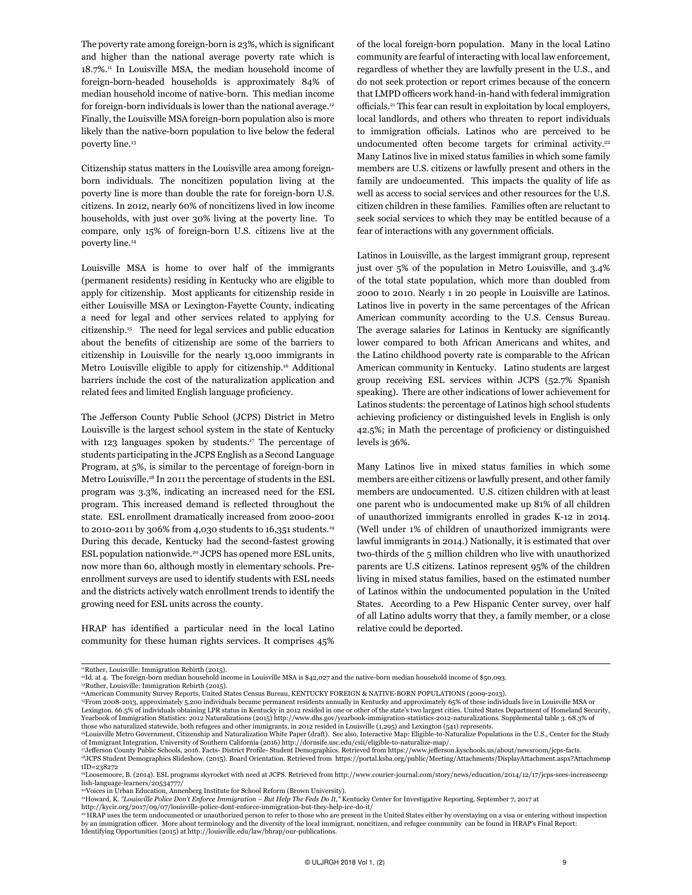The poverty rate among foreign-born is 23%, which is significant and higher than the national average poverty rate which is 18.7%.11 In Louisville MSA, the median household income of foreign-born-headed households is approximately 84% of median household income of native-born. This median income for foreign-born individuals is lower than the national average.<sup>12</sup> Finally, the Louisville MSA foreign-born population also is more likely than the native-born population to live below the federal poverty line.<sup>13</sup>

Citizenship status matters in the Louisville area among foreignborn individuals. The noncitizen population living at the poverty line is more than double the rate for foreign-born U.S. citizens. In 2012, nearly 60% of noncitizens lived in low income households, with just over 30% living at the poverty line. To compare, only 15% of foreign-born U.S. citizens live at the poverty line.14

Louisville MSA is home to over half of the immigrants (permanent residents) residing in Kentucky who are eligible to apply for citizenship. Most applicants for citizenship reside in either Louisville MSA or Lexington-Fayette County, indicating a need for legal and other services related to applying for citizenship.15 The need for legal services and public education about the benefits of citizenship are some of the barriers to citizenship in Louisville for the nearly 13,000 immigrants in Metro Louisville eligible to apply for citizenship.16 Additional barriers include the cost of the naturalization application and related fees and limited English language proficiency.

The Jefferson County Public School (JCPS) District in Metro Louisville is the largest school system in the state of Kentucky with 123 languages spoken by students.<sup>17</sup> The percentage of students participating in the JCPS English as a Second Language Program, at 5%, is similar to the percentage of foreign-born in Metro Louisville.18 In 2011 the percentage of students in the ESL program was 3.3%, indicating an increased need for the ESL program. This increased demand is reflected throughout the state. ESL enrollment dramatically increased from 2000-2001 to 2010-2011 by 306% from 4,030 students to 16,351 students.<sup>19</sup> During this decade, Kentucky had the second-fastest growing ESL population nationwide.<sup>20</sup> JCPS has opened more ESL units, now more than 60, although mostly in elementary schools. Preenrollment surveys are used to identify students with ESL needs and the districts actively watch enrollment trends to identify the growing need for ESL units across the county.

HRAP has identified a particular need in the local Latino community for these human rights services. It comprises 45%

of the local foreign-born population. Many in the local Latino community are fearful of interacting with local law enforcement, regardless of whether they are lawfully present in the U.S., and do not seek protection or report crimes because of the concern that LMPD officers work hand-in-hand with federal immigration officials.21 This fear can result in exploitation by local employers, local landlords, and others who threaten to report individuals to immigration officials. Latinos who are perceived to be undocumented often become targets for criminal activity.<sup>22</sup> Many Latinos live in mixed status families in which some family members are U.S. citizens or lawfully present and others in the family are undocumented. This impacts the quality of life as well as access to social services and other resources for the U.S. citizen children in these families. Families often are reluctant to seek social services to which they may be entitled because of a fear of interactions with any government officials.

Latinos in Louisville, as the largest immigrant group, represent just over 5% of the population in Metro Louisville, and 3.4% of the total state population, which more than doubled from 2000 to 2010. Nearly 1 in 20 people in Louisville are Latinos. Latinos live in poverty in the same percentages of the African American community according to the U.S. Census Bureau. The average salaries for Latinos in Kentucky are significantly lower compared to both African Americans and whites, and the Latino childhood poverty rate is comparable to the African American community in Kentucky. Latino students are largest group receiving ESL services within JCPS (52.7% Spanish speaking). There are other indications of lower achievement for Latinos students: the percentage of Latinos high school students achieving proficiency or distinguished levels in English is only 42.5%; in Math the percentage of proficiency or distinguished levels is 36%.

Many Latinos live in mixed status families in which some members are either citizens or lawfully present, and other family members are undocumented. U.S. citizen children with at least one parent who is undocumented make up 81% of all children of unauthorized immigrants enrolled in grades K-12 in 2014. (Well under 1% of children of unauthorized immigrants were lawful immigrants in 2014.) Nationally, it is estimated that over two-thirds of the 5 million children who live with unauthorized parents are U.S citizens. Latinos represent 95% of the children living in mixed status families, based on the estimated number of Latinos within the undocumented population in the United States. According to a Pew Hispanic Center survey, over half of all Latino adults worry that they, a family member, or a close relative could be deported.

15From 2008-2013, approximately 5,200 individuals became permanent residents annually in Kentucky and approximately 65% of these individuals live in Louisville MSA or

<sup>&</sup>lt;sup>11</sup>Ruther, Louisville: Immigration Rebirth (2015).

<sup>&</sup>lt;sup>12</sup>Id. at 4. The foreign-born median household income in Louisville MSA is \$42,027 and the native-born median household income of \$50,093.

<sup>13</sup>Ruther, Louisville: Immigration Rebirth (2015).

<sup>14</sup>American Community Survey Reports, United States Census Bureau, KENTUCKY FOREIGN & NATIVE-BORN POPULATIONS (2009-2013).

Lexington. 66.5% of individuals obtaining LPR status in Kentucky in 2012 resided in one or other of the state's two largest cities. United States Department of Homeland Security, Yearbook of Immigration Statistics: 2012 Naturalizations (2015) <http://www.dhs.gov/yearbook>-immigration-statistics-2012-naturalizations. Supplemental table 3. 68.3% of

those who naturalized statewide, both refugees and other immigrants, in 2012 resided in Louisville (1,295) and Lexington (541) represents.<br>"Louisville Metro Government, Citizenship and Naturalization White Paper (draft). S of Immigrant Integration, University of Southern California (2016) [http://dornsife.usc.edu/csii/eligible-](http://dornsife.usc.edu/csii/eligible)to-naturalize-map/.

<sup>17</sup>Jefferson County Public Schools, 2016. Facts- District Profile- Student Demographics. Retrieved from<https://www.jefferson.kyschools.us/about/newsroom/jcps>-facts. 18JCPS Student Demographics Slideshow. (2015). Board Orientation. Retrieved from [https://portal.ksba.org/public/Meeting/Attachments/DisplayAttachment.aspx?Attachmenp-](https://portal.ksba.org/public/Meeting/Attachments/DisplayAttachment.aspx?AttachmentID=238272)

[tID=238272](https://portal.ksba.org/public/Meeting/Attachments/DisplayAttachment.aspx?AttachmentID=238272) 19Loosemoore, B. (2014). ESL programs skyrocket with need at JCPS. Retrieved from [http://www.courier-journal.com/story/news/education/2014/12/17/jcps-sees-increaseeng](http://www.courier-journal.com/story/news/education/2014/12/17/jcps-sees-increaseenglish-language-learners/20534777)-

[lish-language-learners/20534777/](http://www.courier-journal.com/story/news/education/2014/12/17/jcps-sees-increaseenglish-language-learners/20534777)<br>20Voices in Urban Education, Annenberg Institute for School Reform (Brown University).

<sup>&</sup>lt;sup>21</sup>Howard, K. "Louisville Police Don't Enforce Immigration - But Help The Feds Do It," Kentucky Center for Investigative Reporting, September 7, 2017 at

http://kycir.org/2017/09/07/louisville-police-dont-enforce-immigration-but-they-help-ice-do-it/

<sup>22</sup> HRAP uses the term undocumented or unauthorized person to refer to those who are present in the United States either by overstaying on a visa or entering without inspection by an immigration officer. More about terminology and the diversity of the local immigrant, noncitizen, and refugee community can be found in HRAP's Final Report: Identifying Opportunities (2015) at http://louisville.edu/law/bhrap/our-publications.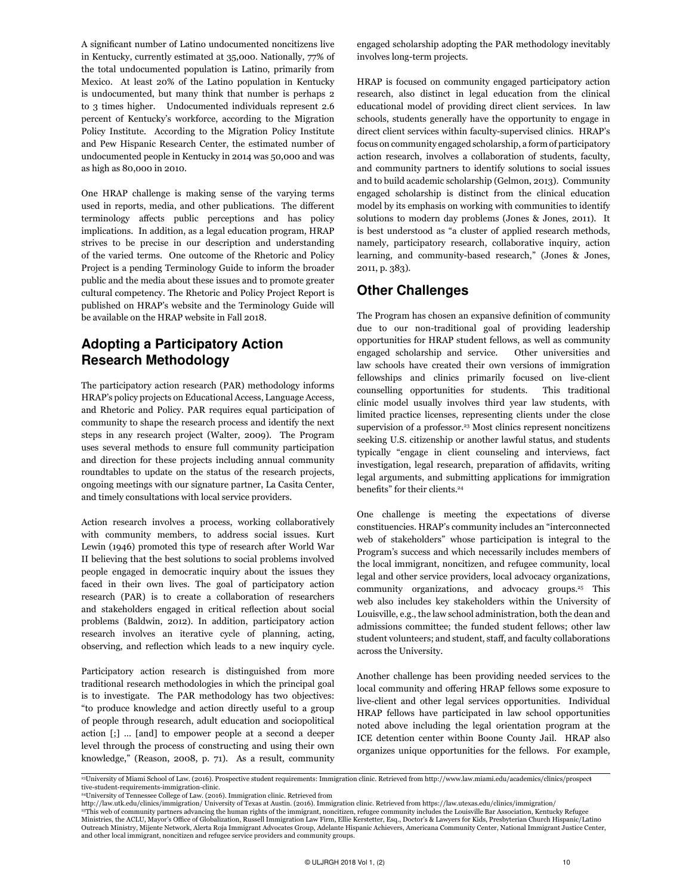A significant number of Latino undocumented noncitizens live in Kentucky, currently estimated at 35,000. Nationally, 77% of the total undocumented population is Latino, primarily from Mexico. At least 20% of the Latino population in Kentucky is undocumented, but many think that number is perhaps 2 to 3 times higher. Undocumented individuals represent 2.6 percent of Kentucky's workforce, according to the Migration Policy Institute. According to the Migration Policy Institute and Pew Hispanic Research Center, the estimated number of undocumented people in Kentucky in 2014 was 50,000 and was as high as 80,000 in 2010.

One HRAP challenge is making sense of the varying terms used in reports, media, and other publications. The different terminology affects public perceptions and has policy implications. In addition, as a legal education program, HRAP strives to be precise in our description and understanding of the varied terms. One outcome of the Rhetoric and Policy Project is a pending Terminology Guide to inform the broader public and the media about these issues and to promote greater cultural competency. The Rhetoric and Policy Project Report is published on HRAP's website and the Terminology Guide will be available on the HRAP website in Fall 2018.

## Adopting a Participatory Action Research Methodology

The participatory action research (PAR) methodology informs HRAP's policy projects on Educational Access, Language Access, and Rhetoric and Policy. PAR requires equal participation of community to shape the research process and identify the next steps in any research project (Walter, 2009). The Program uses several methods to ensure full community participation and direction for these projects including annual community roundtables to update on the status of the research projects, ongoing meetings with our signature partner, La Casita Center, and timely consultations with local service providers.

Action research involves a process, working collaboratively with community members, to address social issues. Kurt Lewin (1946) promoted this type of research after World War II believing that the best solutions to social problems involved people engaged in democratic inquiry about the issues they faced in their own lives. The goal of participatory action research (PAR) is to create a collaboration of researchers and stakeholders engaged in critical reflection about social problems (Baldwin, 2012). In addition, participatory action research involves an iterative cycle of planning, acting, observing, and reflection which leads to a new inquiry cycle.

Participatory action research is distinguished from more traditional research methodologies in which the principal goal is to investigate. The PAR methodology has two objectives: "to produce knowledge and action directly useful to a group of people through research, adult education and sociopolitical action [;] … [and] to empower people at a second a deeper level through the process of constructing and using their own knowledge," (Reason, 2008, p. 71). As a result, community

engaged scholarship adopting the PAR methodology inevitably involves long-term projects.

HRAP is focused on community engaged participatory action research, also distinct in legal education from the clinical educational model of providing direct client services. In law schools, students generally have the opportunity to engage in direct client services within faculty-supervised clinics. HRAP's focus on community engaged scholarship, a form of participatory action research, involves a collaboration of students, faculty, and community partners to identify solutions to social issues and to build academic scholarship (Gelmon, 2013). Community engaged scholarship is distinct from the clinical education model by its emphasis on working with communities to identify solutions to modern day problems (Jones & Jones, 2011). It is best understood as "a cluster of applied research methods, namely, participatory research, collaborative inquiry, action learning, and community-based research," (Jones & Jones, 2011, p. 383).

### Other Challenges

The Program has chosen an expansive definition of community due to our non-traditional goal of providing leadership opportunities for HRAP student fellows, as well as community engaged scholarship and service. Other universities and law schools have created their own versions of immigration fellowships and clinics primarily focused on live-client counselling opportunities for students. This traditional clinic model usually involves third year law students, with limited practice licenses, representing clients under the close supervision of a professor.<sup>23</sup> Most clinics represent noncitizens seeking U.S. citizenship or another lawful status, and students typically "engage in client counseling and interviews, fact investigation, legal research, preparation of affidavits, writing legal arguments, and submitting applications for immigration benefits" for their clients.<sup>24</sup>

One challenge is meeting the expectations of diverse constituencies. HRAP's community includes an "interconnected web of stakeholders" whose participation is integral to the Program's success and which necessarily includes members of the local immigrant, noncitizen, and refugee community, local legal and other service providers, local advocacy organizations, community organizations, and advocacy groups.<sup>25</sup> This web also includes key stakeholders within the University of Louisville, e.g., the law school administration, both the dean and admissions committee; the funded student fellows; other law student volunteers; and student, staff, and faculty collaborations across the University.

Another challenge has been providing needed services to the local community and offering HRAP fellows some exposure to live-client and other legal services opportunities. Individual HRAP fellows have participated in law school opportunities noted above including the legal orientation program at the ICE detention center within Boone County Jail. HRAP also organizes unique opportunities for the fellows. For example,

23University of Miami School of Law. (2016). Prospective student requirements: Immigration clinic. Retrieved from [http://www.law.miami.edu/academics/clinics/prospect](http://www.law.miami.edu/academics/clinics/prospective)[tive-](http://www.law.miami.edu/academics/clinics/prospective)student-requirements-immigration-clinic.

<sup>24</sup>University of Tennessee College of Law. (2016). Immigration clinic. Retrieved from

[http://law.utk.edu/clinics/](http://law.utk.edu/clinics)immigration/ University of Texas at Austin. (2016). Immigration clinic. Retrieved from [https://law.utexas.edu/clinics/](https://law.utexas.edu/clinics)immigration/ 25This web of community partners advancing the human rights of the immigrant, noncitizen, refugee community includes the Louisville Bar Association, Kentucky Refugee Ministries, the ACLU, Mayor's Office of Globalization, Russell Immigration Law Firm, Ellie Kerstetter, Esq., Doctor's & Lawyers for Kids, Presbyterian Church Hispanic/Latino Outreach Ministry, Mijente Network, Alerta Roja Immigrant Advocates Group, Adelante Hispanic Achievers, Americana Community Center, National Immigrant Justice Center, and other local immigrant, noncitizen and refugee service providers and community groups.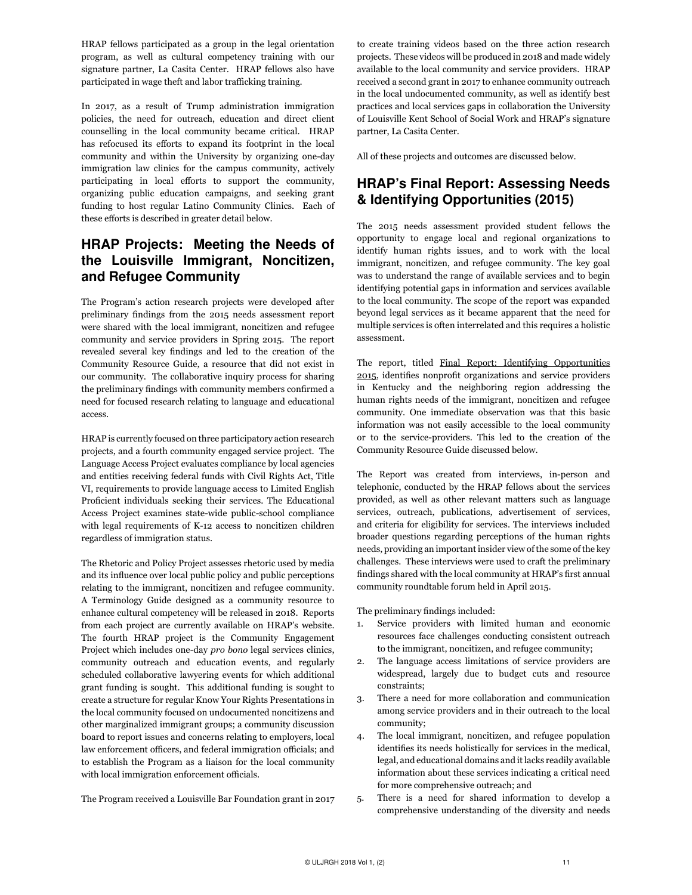HRAP fellows participated as a group in the legal orientation program, as well as cultural competency training with our signature partner, La Casita Center. HRAP fellows also have participated in wage theft and labor trafficking training.

In 2017, as a result of Trump administration immigration policies, the need for outreach, education and direct client counselling in the local community became critical. HRAP has refocused its efforts to expand its footprint in the local community and within the University by organizing one-day immigration law clinics for the campus community, actively participating in local efforts to support the community, organizing public education campaigns, and seeking grant funding to host regular Latino Community Clinics. Each of these efforts is described in greater detail below.

## HRAP Projects: Meeting the Needs of the Louisville Immigrant, Noncitizen, and Refugee Community

The Program's action research projects were developed after preliminary findings from the 2015 needs assessment report were shared with the local immigrant, noncitizen and refugee community and service providers in Spring 2015. The report revealed several key findings and led to the creation of the Community Resource Guide, a resource that did not exist in our community. The collaborative inquiry process for sharing the preliminary findings with community members confirmed a need for focused research relating to language and educational access.

HRAP is currently focused on three participatory action research projects, and a fourth community engaged service project. The Language Access Project evaluates compliance by local agencies and entities receiving federal funds with Civil Rights Act, Title VI, requirements to provide language access to Limited English Proficient individuals seeking their services. The Educational Access Project examines state-wide public-school compliance with legal requirements of K-12 access to noncitizen children regardless of immigration status.

The Rhetoric and Policy Project assesses rhetoric used by media and its influence over local public policy and public perceptions relating to the immigrant, noncitizen and refugee community. A Terminology Guide designed as a community resource to enhance cultural competency will be released in 2018. Reports from each project are currently available on HRAP's website. The fourth HRAP project is the Community Engagement Project which includes one-day *pro bono* legal services clinics, community outreach and education events, and regularly scheduled collaborative lawyering events for which additional grant funding is sought. This additional funding is sought to create a structure for regular Know Your Rights Presentations in the local community focused on undocumented noncitizens and other marginalized immigrant groups; a community discussion board to report issues and concerns relating to employers, local law enforcement officers, and federal immigration officials; and to establish the Program as a liaison for the local community with local immigration enforcement officials.

The Program received a Louisville Bar Foundation grant in 2017

to create training videos based on the three action research projects. These videos will be produced in 2018 and made widely available to the local community and service providers. HRAP received a second grant in 2017 to enhance community outreach in the local undocumented community, as well as identify best practices and local services gaps in collaboration the University of Louisville Kent School of Social Work and HRAP's signature partner, La Casita Center.

All of these projects and outcomes are discussed below.

### HRAP's Final Report: Assessing Needs & Identifying Opportunities (2015)

The 2015 needs assessment provided student fellows the opportunity to engage local and regional organizations to identify human rights issues, and to work with the local immigrant, noncitizen, and refugee community. The key goal was to understand the range of available services and to begin identifying potential gaps in information and services available to the local community. The scope of the report was expanded beyond legal services as it became apparent that the need for multiple services is often interrelated and this requires a holistic assessment.

The report, titled [Final Report: Identifying Opportunities](http://louisville.edu/law/bhrap/our-publications/identifying-opportunities)  [2015](http://louisville.edu/law/bhrap/our-publications/identifying-opportunities), identifies nonprofit organizations and service providers in Kentucky and the neighboring region addressing the human rights needs of the immigrant, noncitizen and refugee community. One immediate observation was that this basic information was not easily accessible to the local community or to the service-providers. This led to the creation of the Community Resource Guide discussed below.

The Report was created from interviews, in-person and telephonic, conducted by the HRAP fellows about the services provided, as well as other relevant matters such as language services, outreach, publications, advertisement of services, and criteria for eligibility for services. The interviews included broader questions regarding perceptions of the human rights needs, providing an important insider view of the some of the key challenges. These interviews were used to craft the preliminary findings shared with the local community at HRAP's first annual community roundtable forum held in April 2015.

The preliminary findings included:

- 1. Service providers with limited human and economic resources face challenges conducting consistent outreach to the immigrant, noncitizen, and refugee community;
- 2. The language access limitations of service providers are widespread, largely due to budget cuts and resource constraints;
- 3. There a need for more collaboration and communication among service providers and in their outreach to the local community;
- 4. The local immigrant, noncitizen, and refugee population identifies its needs holistically for services in the medical, legal, and educational domains and it lacks readily available information about these services indicating a critical need for more comprehensive outreach; and
- 5. There is a need for shared information to develop a comprehensive understanding of the diversity and needs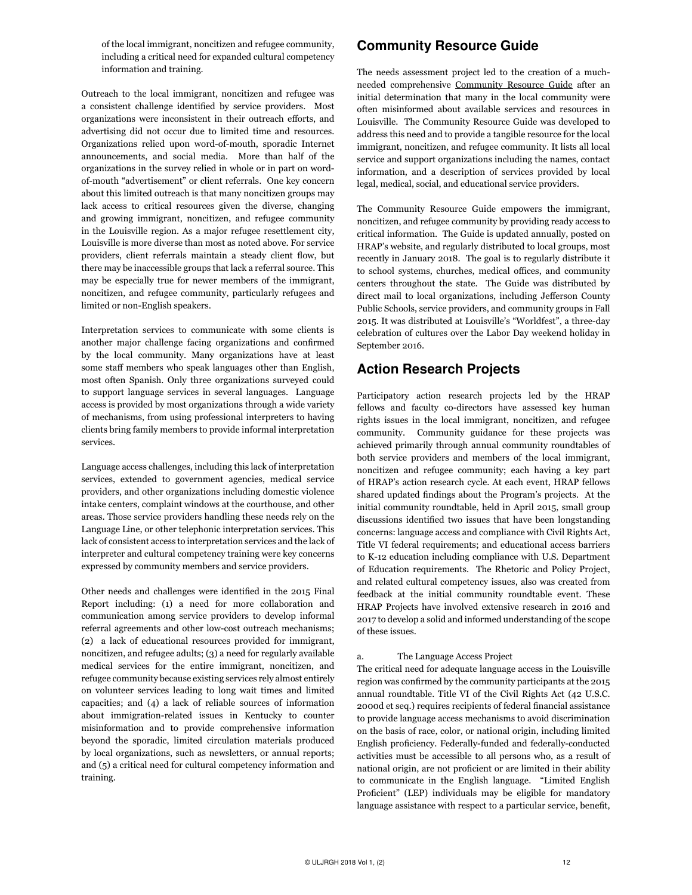of the local immigrant, noncitizen and refugee community, including a critical need for expanded cultural competency information and training.

Outreach to the local immigrant, noncitizen and refugee was a consistent challenge identified by service providers. Most organizations were inconsistent in their outreach efforts, and advertising did not occur due to limited time and resources. Organizations relied upon word-of-mouth, sporadic Internet announcements, and social media. More than half of the organizations in the survey relied in whole or in part on wordof-mouth "advertisement" or client referrals. One key concern about this limited outreach is that many noncitizen groups may lack access to critical resources given the diverse, changing and growing immigrant, noncitizen, and refugee community in the Louisville region. As a major refugee resettlement city, Louisville is more diverse than most as noted above. For service providers, client referrals maintain a steady client flow, but there may be inaccessible groups that lack a referral source. This may be especially true for newer members of the immigrant, noncitizen, and refugee community, particularly refugees and limited or non-English speakers.

Interpretation services to communicate with some clients is another major challenge facing organizations and confirmed by the local community. Many organizations have at least some staff members who speak languages other than English, most often Spanish. Only three organizations surveyed could to support language services in several languages. Language access is provided by most organizations through a wide variety of mechanisms, from using professional interpreters to having clients bring family members to provide informal interpretation services.

Language access challenges, including this lack of interpretation services, extended to government agencies, medical service providers, and other organizations including domestic violence intake centers, complaint windows at the courthouse, and other areas. Those service providers handling these needs rely on the Language Line, or other telephonic interpretation services. This lack of consistent access to interpretation services and the lack of interpreter and cultural competency training were key concerns expressed by community members and service providers.

Other needs and challenges were identified in the 2015 Final Report including: (1) a need for more collaboration and communication among service providers to develop informal referral agreements and other low-cost outreach mechanisms; (2) a lack of educational resources provided for immigrant, noncitizen, and refugee adults; (3) a need for regularly available medical services for the entire immigrant, noncitizen, and refugee community because existing services rely almost entirely on volunteer services leading to long wait times and limited capacities; and (4) a lack of reliable sources of information about immigration-related issues in Kentucky to counter misinformation and to provide comprehensive information beyond the sporadic, limited circulation materials produced by local organizations, such as newsletters, or annual reports; and (5) a critical need for cultural competency information and training.

### Community Resource Guide

The needs assessment project led to the creation of a muchneeded comprehensive [Community Resource Guide](http://louisville.edu/law/bhrap/community-resource-guide) after an initial determination that many in the local community were often misinformed about available services and resources in Louisville. The Community Resource Guide was developed to address this need and to provide a tangible resource for the local immigrant, noncitizen, and refugee community. It lists all local service and support organizations including the names, contact information, and a description of services provided by local legal, medical, social, and educational service providers.

The Community Resource Guide empowers the immigrant, noncitizen, and refugee community by providing ready access to critical information. The Guide is updated annually, posted on HRAP's website, and regularly distributed to local groups, most recently in January 2018. The goal is to regularly distribute it to school systems, churches, medical offices, and community centers throughout the state. The Guide was distributed by direct mail to local organizations, including Jefferson County Public Schools, service providers, and community groups in Fall 2015. It was distributed at Louisville's "Worldfest", a three-day celebration of cultures over the Labor Day weekend holiday in September 2016.

### Action Research Projects

Participatory action research projects led by the HRAP fellows and faculty co-directors have assessed key human rights issues in the local immigrant, noncitizen, and refugee community. Community guidance for these projects was achieved primarily through annual community roundtables of both service providers and members of the local immigrant, noncitizen and refugee community; each having a key part of HRAP's action research cycle. At each event, HRAP fellows shared updated findings about the Program's projects. At the initial community roundtable, held in April 2015, small group discussions identified two issues that have been longstanding concerns: language access and compliance with Civil Rights Act, Title VI federal requirements; and educational access barriers to K-12 education including compliance with U.S. Department of Education requirements. The Rhetoric and Policy Project, and related cultural competency issues, also was created from feedback at the initial community roundtable event. These HRAP Projects have involved extensive research in 2016 and 2017 to develop a solid and informed understanding of the scope of these issues.

### a. The Language Access Project

The critical need for adequate language access in the Louisville region was confirmed by the community participants at the 2015 annual roundtable. Title VI of the Civil Rights Act (42 U.S.C. 2000d et seq.) requires recipients of federal financial assistance to provide language access mechanisms to avoid discrimination on the basis of race, color, or national origin, including limited English proficiency. Federally-funded and federally-conducted activities must be accessible to all persons who, as a result of national origin, are not proficient or are limited in their ability to communicate in the English language. "Limited English Proficient" (LEP) individuals may be eligible for mandatory language assistance with respect to a particular service, benefit,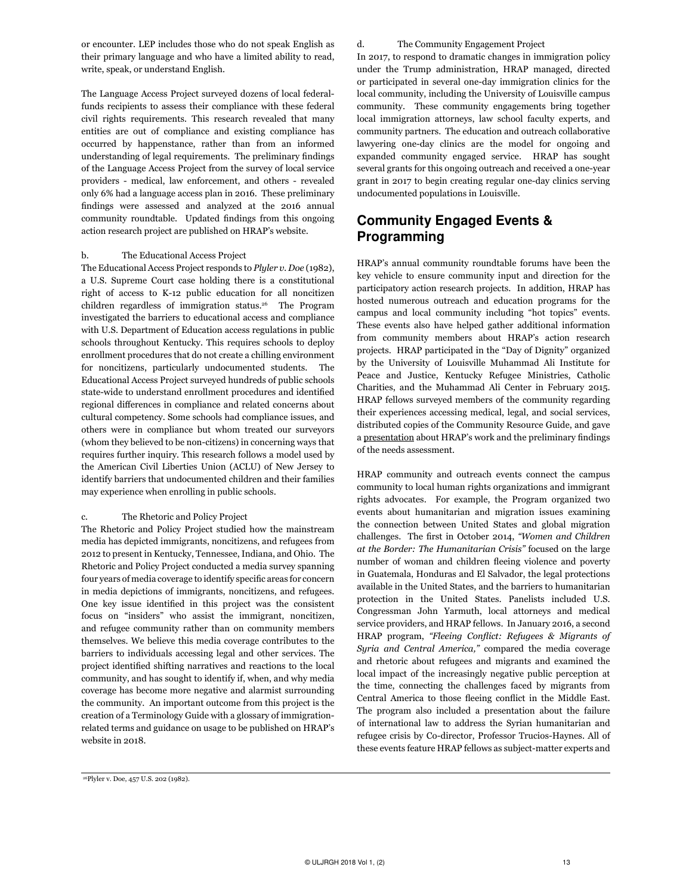or encounter. LEP includes those who do not speak English as their primary language and who have a limited ability to read, write, speak, or understand English.

The Language Access Project surveyed dozens of local federalfunds recipients to assess their compliance with these federal civil rights requirements. This research revealed that many entities are out of compliance and existing compliance has occurred by happenstance, rather than from an informed understanding of legal requirements. The preliminary findings of the Language Access Project from the survey of local service providers - medical, law enforcement, and others - revealed only 6% had a language access plan in 2016. These preliminary findings were assessed and analyzed at the 2016 annual community roundtable. Updated findings from this ongoing action research project are published on HRAP's website.

#### b. The Educational Access Project

The Educational Access Project responds to *Plyler v. Doe* (1982), a U.S. Supreme Court case holding there is a constitutional right of access to K-12 public education for all noncitizen children regardless of immigration status.<sup>26</sup> The Program investigated the barriers to educational access and compliance with U.S. Department of Education access regulations in public schools throughout Kentucky. This requires schools to deploy enrollment procedures that do not create a chilling environment for noncitizens, particularly undocumented students. The Educational Access Project surveyed hundreds of public schools state-wide to understand enrollment procedures and identified regional differences in compliance and related concerns about cultural competency. Some schools had compliance issues, and others were in compliance but whom treated our surveyors (whom they believed to be non-citizens) in concerning ways that requires further inquiry. This research follows a model used by the American Civil Liberties Union (ACLU) of New Jersey to identify barriers that undocumented children and their families may experience when enrolling in public schools.

#### c. The Rhetoric and Policy Project

The Rhetoric and Policy Project studied how the mainstream media has depicted immigrants, noncitizens, and refugees from 2012 to present in Kentucky, Tennessee, Indiana, and Ohio. The Rhetoric and Policy Project conducted a media survey spanning four years of media coverage to identify specific areas for concern in media depictions of immigrants, noncitizens, and refugees. One key issue identified in this project was the consistent focus on "insiders" who assist the immigrant, noncitizen, and refugee community rather than on community members themselves. We believe this media coverage contributes to the barriers to individuals accessing legal and other services. The project identified shifting narratives and reactions to the local community, and has sought to identify if, when, and why media coverage has become more negative and alarmist surrounding the community. An important outcome from this project is the creation of a Terminology Guide with a glossary of immigrationrelated terms and guidance on usage to be published on HRAP's website in 2018.

d. The Community Engagement Project

In 2017, to respond to dramatic changes in immigration policy under the Trump administration, HRAP managed, directed or participated in several one-day immigration clinics for the local community, including the University of Louisville campus community. These community engagements bring together local immigration attorneys, law school faculty experts, and community partners. The education and outreach collaborative lawyering one-day clinics are the model for ongoing and expanded community engaged service. HRAP has sought several grants for this ongoing outreach and received a one-year grant in 2017 to begin creating regular one-day clinics serving undocumented populations in Louisville.

### Community Engaged Events & Programming

HRAP's annual community roundtable forums have been the key vehicle to ensure community input and direction for the participatory action research projects. In addition, HRAP has hosted numerous outreach and education programs for the campus and local community including "hot topics" events. These events also have helped gather additional information from community members about HRAP's action research projects. HRAP participated in the "Day of Dignity" organized by the University of Louisville Muhammad Ali Institute for Peace and Justice, Kentucky Refugee Ministries, Catholic Charities, and the Muhammad Ali Center in February 2015. HRAP fellows surveyed members of the community regarding their experiences accessing medical, legal, and social services, distributed copies of the Community Resource Guide, and gave a [presentation](https://louisville.edu/law/bhrap/documents-pp-pdfs/day-of-dignity-presentation/view) about HRAP's work and the preliminary findings of the needs assessment.

HRAP community and outreach events connect the campus community to local human rights organizations and immigrant rights advocates. For example, the Program organized two events about humanitarian and migration issues examining the connection between United States and global migration challenges. The first in October 2014, *["Women and Children](https://louisville.edu/law/bhrap/our-work/women-and-children-at-the-border-the-humanitarian-crisis-october-2014) [at the Border: The Humanitarian Crisis"](https://louisville.edu/law/bhrap/our-work/women-and-children-at-the-border-the-humanitarian-crisis-october-2014)* focused on the large number of woman and children fleeing violence and poverty in Guatemala, Honduras and El Salvador, the legal protections available in the United States, and the barriers to humanitarian protection in the United States. Panelists included U.S. Congressman John Yarmuth, local attorneys and medical service providers, and HRAP fellows. In January 2016, a second HRAP program, *"Fleeing Conflict: Refugees & Migrants of Syria and Central America,"* compared the media coverage and rhetoric about refugees and migrants and examined the local impact of the increasingly negative public perception at the time, connecting the challenges faced by migrants from Central America to those fleeing conflict in the Middle East. The program also included a presentation about the failure of international law to address the Syrian humanitarian and refugee crisis by Co-director, Professor Trucios-Haynes. All of these events feature HRAP fellows as subject-matter experts and

<sup>26</sup>Plyler v. Doe, 457 U.S. 202 (1982).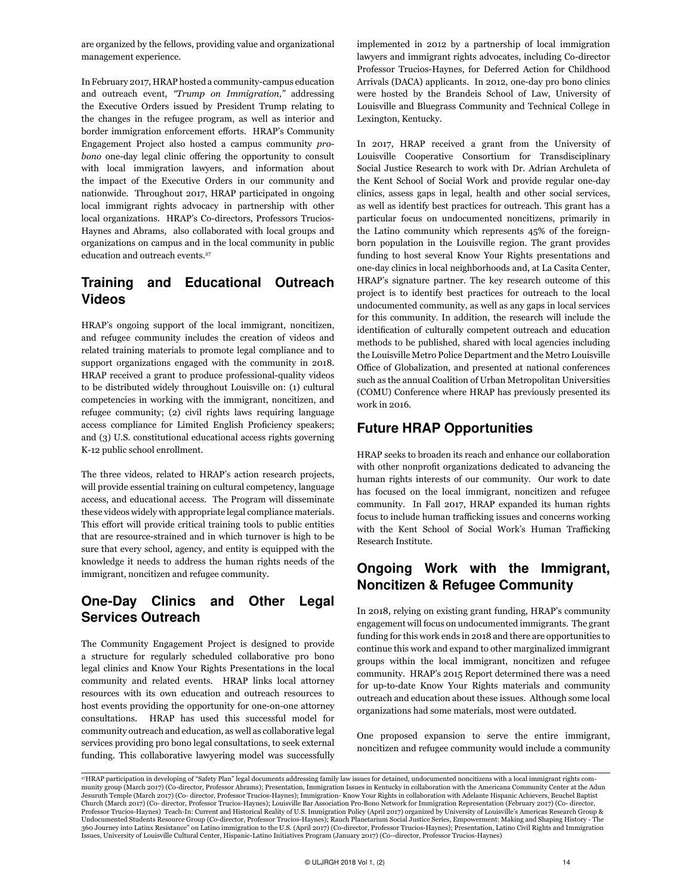are organized by the fellows, providing value and organizational management experience.

In February 2017, HRAP hosted a community-campus education and outreach event, *"Trump on Immigration,"* addressing the Executive Orders issued by President Trump relating to the changes in the refugee program, as well as interior and border immigration enforcement efforts. HRAP's Community Engagement Project also hosted a campus community *probono* one-day legal clinic offering the opportunity to consult with local immigration lawyers, and information about the impact of the Executive Orders in our community and nationwide. Throughout 2017, HRAP participated in ongoing local immigrant rights advocacy in partnership with other local organizations. HRAP's Co-directors, Professors Trucios-Haynes and Abrams, also collaborated with local groups and organizations on campus and in the local community in public education and outreach events.<sup>27</sup>

# Training and Educational Outreach Videos

HRAP's ongoing support of the local immigrant, noncitizen, and refugee community includes the creation of videos and related training materials to promote legal compliance and to support organizations engaged with the community in 2018. HRAP received a grant to produce professional-quality videos to be distributed widely throughout Louisville on: (1) cultural competencies in working with the immigrant, noncitizen, and refugee community; (2) civil rights laws requiring language access compliance for Limited English Proficiency speakers; and (3) U.S. constitutional educational access rights governing K-12 public school enrollment.

The three videos, related to HRAP's action research projects, will provide essential training on cultural competency, language access, and educational access. The Program will disseminate these videos widely with appropriate legal compliance materials. This effort will provide critical training tools to public entities that are resource-strained and in which turnover is high to be sure that every school, agency, and entity is equipped with the knowledge it needs to address the human rights needs of the immigrant, noncitizen and refugee community.

## One-Day Clinics and Other Legal Services Outreach

The Community Engagement Project is designed to provide a structure for regularly scheduled collaborative pro bono legal clinics and Know Your Rights Presentations in the local community and related events. HRAP links local attorney resources with its own education and outreach resources to host events providing the opportunity for one-on-one attorney consultations. HRAP has used this successful model for community outreach and education, as well as collaborative legal services providing pro bono legal consultations, to seek external funding. This collaborative lawyering model was successfully implemented in 2012 by a partnership of local immigration lawyers and immigrant rights advocates, including Co-director Professor Trucios-Haynes, for Deferred Action for Childhood Arrivals (DACA) applicants. In 2012, one-day pro bono clinics were hosted by the Brandeis School of Law, University of Louisville and Bluegrass Community and Technical College in Lexington, Kentucky.

In 2017, HRAP received a grant from the University of Louisville Cooperative Consortium for Transdisciplinary Social Justice Research to work with Dr. Adrian Archuleta of the Kent School of Social Work and provide regular one-day clinics, assess gaps in legal, health and other social services, as well as identify best practices for outreach. This grant has a particular focus on undocumented noncitizens, primarily in the Latino community which represents 45% of the foreignborn population in the Louisville region. The grant provides funding to host several Know Your Rights presentations and one-day clinics in local neighborhoods and, at La Casita Center, HRAP's signature partner. The key research outcome of this project is to identify best practices for outreach to the local undocumented community, as well as any gaps in local services for this community. In addition, the research will include the identification of culturally competent outreach and education methods to be published, shared with local agencies including the Louisville Metro Police Department and the Metro Louisville Office of Globalization, and presented at national conferences such as the annual Coalition of Urban Metropolitan Universities (COMU) Conference where HRAP has previously presented its work in 2016.

### Future HRAP Opportunities

HRAP seeks to broaden its reach and enhance our collaboration with other nonprofit organizations dedicated to advancing the human rights interests of our community. Our work to date has focused on the local immigrant, noncitizen and refugee community. In Fall 2017, HRAP expanded its human rights focus to include human trafficking issues and concerns working with the Kent School of Social Work's Human Trafficking Research Institute.

### Ongoing Work with the Immigrant, Noncitizen & Refugee Community

In 2018, relying on existing grant funding, HRAP's community engagement will focus on undocumented immigrants. The grant funding for this work ends in 2018 and there are opportunities to continue this work and expand to other marginalized immigrant groups within the local immigrant, noncitizen and refugee community. HRAP's 2015 Report determined there was a need for up-to-date Know Your Rights materials and community outreach and education about these issues. Although some local organizations had some materials, most were outdated.

One proposed expansion to serve the entire immigrant, noncitizen and refugee community would include a community

<sup>27</sup>HRAP participation in developing of "Safety Plan" legal documents addressing family law issues for detained, undocumented noncitizens with a local immigrant rights community group (March 2017) (Co-director, Professor Abrams); Presentation, Immigration Issues in Kentucky in collaboration with the Americana Community Center at the Adun Jesuruth Temple (March 2017) (Co- director, Professor Trucios-Haynes); Immigration- Know Your Rights in collaboration with Adelante Hispanic Achievers, Beuchel Baptist Church (March 2017) (Co- director, Professor Trucios-Haynes); Louisville Bar Association Pro-Bono Network for Immigration Representation (February 2017) (Co- director, Professor Trucios-Haynes) Teach-In: Current and Historical Reality of U.S. Immigration Policy (April 2017) organized by University of Louisville's Americas Research Group & Undocumented Students Resource Group (Co-director, Professor Trucios-Haynes); Rauch Planetarium Social Justice Series, Empowerment: Making and Shaping History - The 360 Journey into Latinx Resistance" on Latino immigration to the U.S. (April 2017) (Co-director, Professor Trucios-Haynes); Presentation, Latino Civil Rights and Immigration<br>Issues, University of Louisville Cultural Center